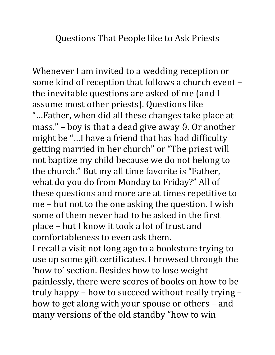Questions That People like to Ask Priests

Whenever I am invited to a wedding reception or some kind of reception that follows a church event – the inevitable questions are asked of me (and I assume most other priests). Questions like "…Father, when did all these changes take place at mass." – boy is that a dead give away  $\theta$ . Or another might be "…I have a friend that has had difficulty getting married in her church" or "The priest will not baptize my child because we do not belong to the church." But my all time favorite is "Father, what do you do from Monday to Friday?" All of these questions and more are at times repetitive to me – but not to the one asking the question. I wish some of them never had to be asked in the first place – but I know it took a lot of trust and comfortableness to even ask them.

I recall a visit not long ago to a bookstore trying to use up some gift certificates. I browsed through the 'how to' section. Besides how to lose weight painlessly, there were scores of books on how to be truly happy – how to succeed without really trying – how to get along with your spouse or others – and many versions of the old standby "how to win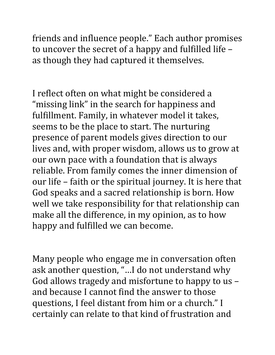friends and influence people." Each author promises to uncover the secret of a happy and fulfilled life – as though they had captured it themselves.

I reflect often on what might be considered a "missing link" in the search for happiness and fulfillment. Family, in whatever model it takes, seems to be the place to start. The nurturing presence of parent models gives direction to our lives and, with proper wisdom, allows us to grow at our own pace with a foundation that is always reliable. From family comes the inner dimension of our life – faith or the spiritual journey. It is here that God speaks and a sacred relationship is born. How well we take responsibility for that relationship can make all the difference, in my opinion, as to how happy and fulfilled we can become.

Many people who engage me in conversation often ask another question, "…I do not understand why God allows tragedy and misfortune to happy to us – and because I cannot find the answer to those questions, I feel distant from him or a church." I certainly can relate to that kind of frustration and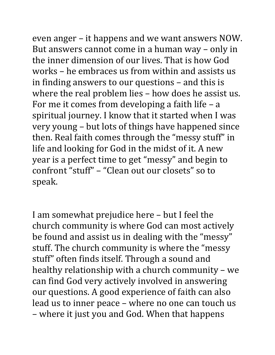even anger – it happens and we want answers NOW. But answers cannot come in a human way – only in the inner dimension of our lives. That is how God works – he embraces us from within and assists us in finding answers to our questions – and this is where the real problem lies – how does he assist us.

For me it comes from developing a faith life – a spiritual journey. I know that it started when I was very young – but lots of things have happened since then. Real faith comes through the "messy stuff" in life and looking for God in the midst of it. A new year is a perfect time to get "messy" and begin to confront "stuff" – "Clean out our closets" so to speak.

I am somewhat prejudice here – but I feel the church community is where God can most actively be found and assist us in dealing with the "messy" stuff. The church community is where the "messy stuff" often finds itself. Through a sound and healthy relationship with a church community – we can find God very actively involved in answering our questions. A good experience of faith can also lead us to inner peace – where no one can touch us – where it just you and God. When that happens